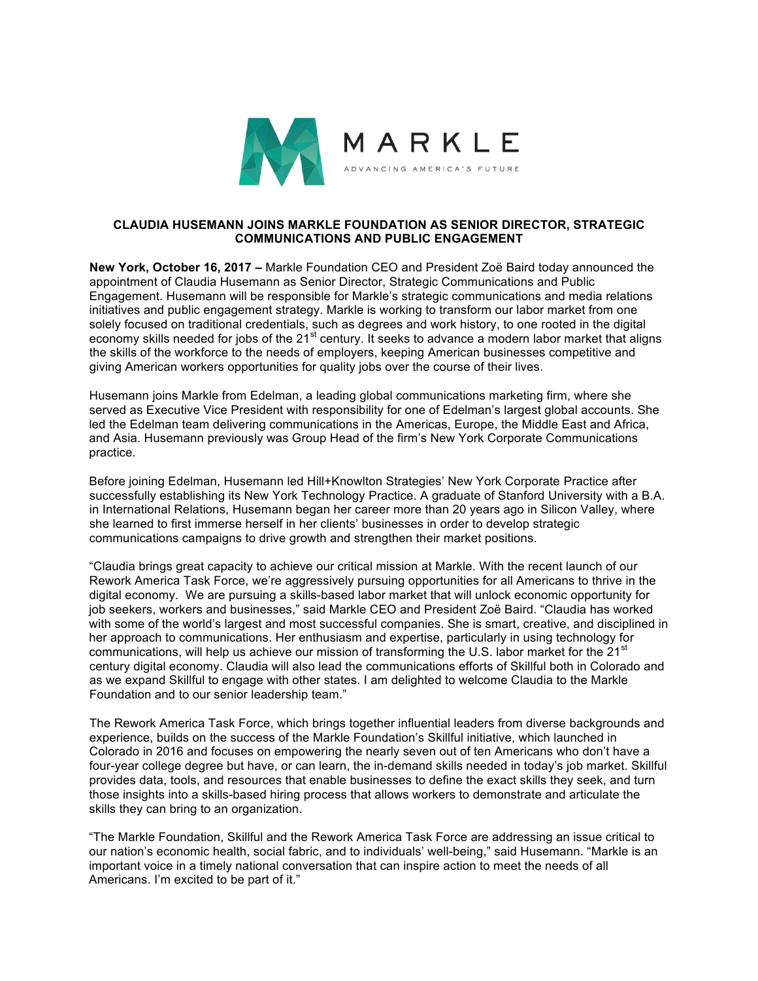

## **CLAUDIA HUSEMANN JOINS MARKLE FOUNDATION AS SENIOR DIRECTOR, STRATEGIC COMMUNICATIONS AND PUBLIC ENGAGEMENT**

**New York, October 16, 2017 –** Markle Foundation CEO and President Zoë Baird today announced the appointment of Claudia Husemann as Senior Director, Strategic Communications and Public Engagement. Husemann will be responsible for Markle's strategic communications and media relations initiatives and public engagement strategy. Markle is working to transform our labor market from one solely focused on traditional credentials, such as degrees and work history, to one rooted in the digital economy skills needed for jobs of the 21<sup>st</sup> century. It seeks to advance a modern labor market that aligns the skills of the workforce to the needs of employers, keeping American businesses competitive and giving American workers opportunities for quality jobs over the course of their lives.

Husemann joins Markle from Edelman, a leading global communications marketing firm, where she served as Executive Vice President with responsibility for one of Edelman's largest global accounts. She led the Edelman team delivering communications in the Americas, Europe, the Middle East and Africa, and Asia. Husemann previously was Group Head of the firm's New York Corporate Communications practice.

Before joining Edelman, Husemann led Hill+Knowlton Strategies' New York Corporate Practice after successfully establishing its New York Technology Practice. A graduate of Stanford University with a B.A. in International Relations, Husemann began her career more than 20 years ago in Silicon Valley, where she learned to first immerse herself in her clients' businesses in order to develop strategic communications campaigns to drive growth and strengthen their market positions.

"Claudia brings great capacity to achieve our critical mission at Markle. With the recent launch of our Rework America Task Force, we're aggressively pursuing opportunities for all Americans to thrive in the digital economy. We are pursuing a skills-based labor market that will unlock economic opportunity for job seekers, workers and businesses," said Markle CEO and President Zoë Baird. "Claudia has worked with some of the world's largest and most successful companies. She is smart, creative, and disciplined in her approach to communications. Her enthusiasm and expertise, particularly in using technology for communications, will help us achieve our mission of transforming the U.S. labor market for the  $21<sup>st</sup>$ century digital economy. Claudia will also lead the communications efforts of Skillful both in Colorado and as we expand Skillful to engage with other states. I am delighted to welcome Claudia to the Markle Foundation and to our senior leadership team."

The Rework America Task Force, which brings together influential leaders from diverse backgrounds and experience, builds on the success of the Markle Foundation's Skillful initiative, which launched in Colorado in 2016 and focuses on empowering the nearly seven out of ten Americans who don't have a four-year college degree but have, or can learn, the in-demand skills needed in today's job market. Skillful provides data, tools, and resources that enable businesses to define the exact skills they seek, and turn those insights into a skills-based hiring process that allows workers to demonstrate and articulate the skills they can bring to an organization.

"The Markle Foundation, Skillful and the Rework America Task Force are addressing an issue critical to our nation's economic health, social fabric, and to individuals' well-being," said Husemann. "Markle is an important voice in a timely national conversation that can inspire action to meet the needs of all Americans. I'm excited to be part of it."